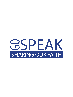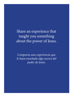Share an experience that taught you something about the power of Jesus.

*Comparta una experiencia que le haya enseñado algo acerca del poder de Jesús.*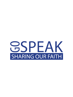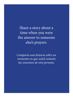Share a story about a time when you were the answer to someone else's prayers.

*Comparta una historia sobre un momento en que usted contesto las oraciones de otra persona.*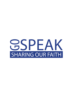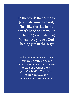In the words that came to Jeremiah from the Lord, "Just like the clay in the potter's hand so are you in my hand." (Jeremiah 18:6) When have you felt God shaping you in this way?

*En las palabras que vinieron a Jeremías de parte del Señor: "Son en mis manos como el barro en las manos del alfarero" (Jeremías 18:06) ¿Cuándo has sentido que Dios te a conformado en esta manera?*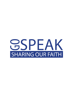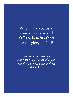When have you used your knowledge and skills to benefit others for the glory of God?

*¿Cuándo ha utilizado su conocimiento y habilidades para beneficiar a otros para la gloria del Señor?*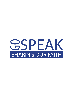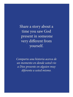Share a story about a time you saw God present in someone very different from yourself.

*Comparta una historia acerca de un momento en donde usted vio a Dios presente en alguien muy diferente a usted mismo.*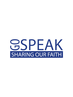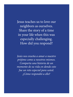Jesus teaches us to love our neighbors as ourselves. Share the story of a time in your life when this was especially challenging. How did you respond?

*Jesús nos enseña a amar a nuestro prójimo como a nosotros mismos. Comparta una historia de un momento de su vida en donde esto fue un reto especial para usted. ¿Cómo respondió a ello?*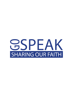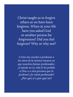Christ taught us to forgive others as we have been forgiven. When in your life have you asked God or another person for forgiveness? Did you feel forgiven? Why or why not?

*Cristo nos enseñó a perdonar a los otros de la misma manera en que nosotros fuimos perdonados. ¿Cuándo en su vida le ha pedido a Dios o a otra persona que lo perdone? ¿Se sintió perdonado? ¿Por qué si o por qué no?*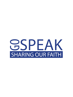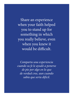Share an experience when your faith helped you to stand up for something in which you really believe, even when you knew it would be difficult.

*Comparta una experiencia cuando su fe le ayudó a ponerse de pie por algo en lo que de verdad cree, aun cuando sabía que sería difícil.*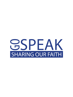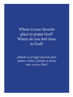Where is your favorite place to praise God? Where do you feel close to God?

*¿Dónde es su lugar favorito para alabar a Dios? ¿Dónde se siente mas cerca a Dios?*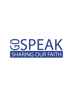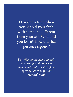Describe a time when you shared your faith with someone different from yourself. What did you learn? How did that person respond?

*Describa un momento cuando haya compartido su fe con alguien diferente a usted. ¿Qué aprendió de ello? ¿Cómo respondieron?*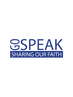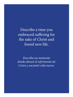Describe a time you embraced suffering for the sake of Christ and found new life.

*Describa un momento donde abrazó el sufrimiento de Cristo y encontró vida nueva.*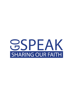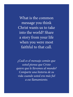What is the common message you think Christ wants us to take into the world? Share a story from your life when you were most faithful to that call.

*¿Cuál es el mensaje común que usted piensa que Cristo quiere que le llevemos al mundo? Comparte una historia de su vida cuando usted era más fiel a ese llamamiento.*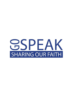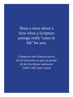Share a story about a time when a Scripture passage really "came to life" for you.

*Comparta una historia acerca de un momento en que un pasaje de las Escrituras realmente "cobró vida" para usted.*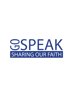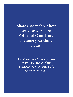Share a story about how you discovered the Episcopal Church and it became your church home.

*Comparta una historia acerca cómo encontro la Iglesia Episcopal y se convirtió en la iglesia de su hogar.*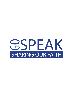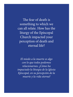The fear of death is something to which we can all relate. How has the liturgy of the Episcopal Church impacted your perception of death and eternal life?

*El miedo a la muerte es algo con lo que todos podemos relacionarnos. ¿Cómo ha impactado la liturgia de la Iglesia Episcopal, en su percepción de la muerte y la vida eterna?*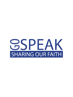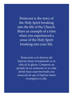Pentecost is the story of the Holy Spirit breaking into the life of the Church. Share an example of a time when you experienced a sense of the Holy Spirit breaking into your life.

*Pentecostés es la historia del Espíritu Santo irrumpiendo en la vida de la iglesia. Comparta un ejemplo de un momento en su vida, donde haya experimentado una sensación de que el Espíritu Santo irrumpiera en ella.*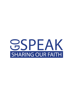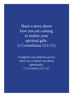Share a story about how you are coming to realize your spiritual gifts. (1 Corinthians 12:1-11)

*Comparte una historia acerca cómo va a realizar sus dones espirituales. (1 Corintios 12:1-11)*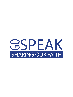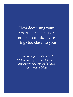How does using your smartphone, tablet or other electronic device bring God closer to you?

*¿Cómo es que utilisando el teléfono inteligente, tablet u otro dispositivo electrónico lo llava mas cerca a Dios?*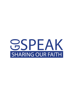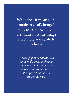What does it mean to be made in God's image? How does knowing you are made in God's image affect how you relate to others?

*¿Qué significa ser hecho a la imagen de Dios? ¿Cómo lo impacta en la forma en que se relaciona con los otros, saber que está hecho a la imagen de Dios?*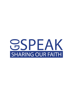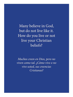Many believe in God, but do not live like it. How do you live or not live your Christian beliefs?

*Muchos creen en Dios, pero no viven como tal. ¿Cómo vive o no vive usted, sus creencias Cristianas?*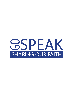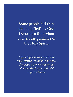Some people feel they are being "led" by God. Describe a time when you felt the guidance of the Holy Spirit.

*Algunas personas sienten que están siendo "guiadas" por Dios. Describa un momento en su vida donde sintió el guía del Espíritu Santo.*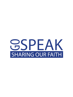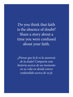Do you think that faith is the absence of doubt? Share a story about a time you were confused about your faith.

*¿Piensa que la fe es la ausencia de la duda? Comparta una historia acerca de un momento en su vida en donde estuvo confundido acerca de su fe.*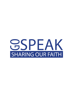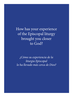How has your experience of the Episcopal liturgy brought you closer to God?

*¿Cómo su experiencia de la liturgia Episcopal lo ha llevado más cerca de Dios?*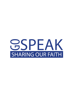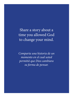Share a story about a time you allowed God to change your mind.

*Comparta una historia de un momento en el cual usted permitió que Dios cambiara su forma de pensar.*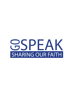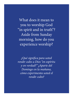What does it mean to you to worship God "in spirit and in truth"? Aside from Sunday morning, how do you experience worship?

*¿Qué significa para usted rendir culto a Dios "en espíritu y en verdad?" ¿Aparte del Domingo en la mañana, cómo experimenta usted el rendir culto?*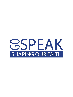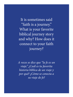It is sometimes said "faith is a journey." What is your favorite biblical journey story and why? How does it connect to your faith journey?

*A veces se dice que "la fe es un viaje." ¿Cuál es tu favorita historia bíblica de un viaje y por qué? ¿Cómo se conecta a su viaje de fe?*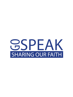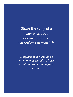Share the story of a time when you encountered the miraculous in your life.

*Comparta la historia de un momento de cuando se haya encontrado con los milagros en su vida.*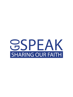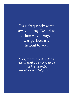Jesus frequently went away to pray. Describe a time when prayer was particularly helpful to you.

*Jesús frecuentemente se fue a orar. Describa un momento en que la oraciónfue particularmente útil para usted.*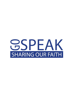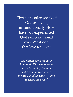Christians often speak of God as loving unconditionally. How have you experienced God's unconditional love? What does that love feel like?

*Los Cristianos a menudo hablan de Dios como amor incondicional. ¿Cómo ha experimentado el amor incondicional de Dios? ¿Cómo se siente ese amor?*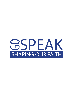